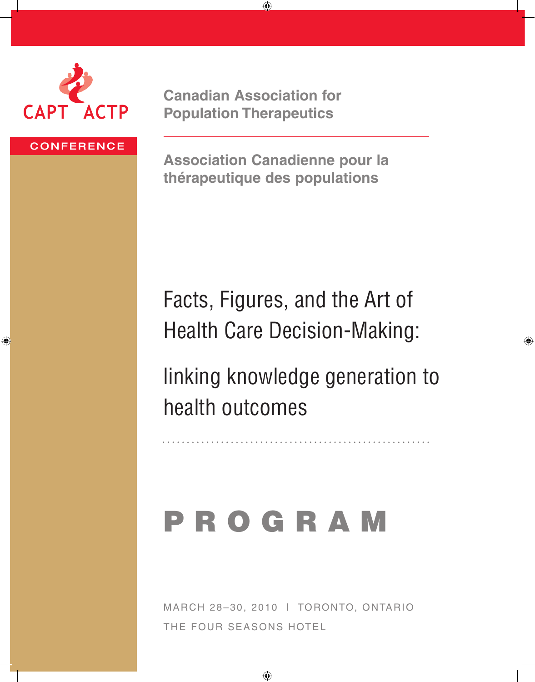

**Canadian Association for Population Therapeutics**

⊕

#### **CONFERENCE**

⊕

**Association Canadienne pour la thérapeutique des populations**

Facts, Figures, and the Art of Health Care Decision-Making:

linking knowledge generation to health outcomes

♠

# P R O G R A M

March 28–30, 2010 | Toronto, Ontario The Four Seasons Hotel

 $\bigoplus$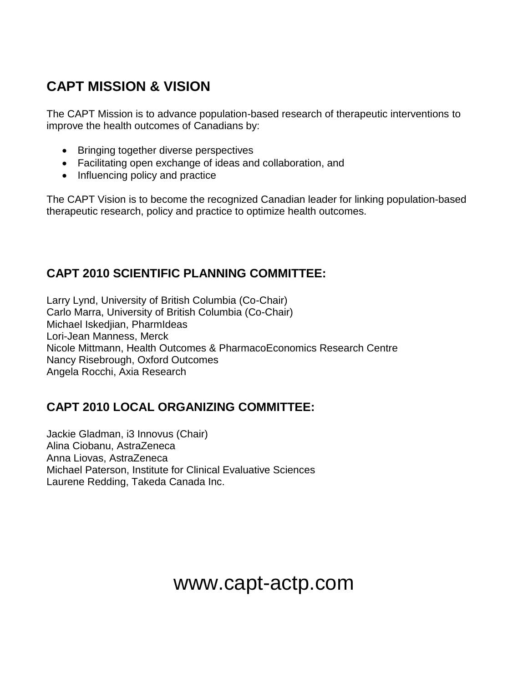## **CAPT MISSION & VISION**

The CAPT Mission is to advance population-based research of therapeutic interventions to improve the health outcomes of Canadians by:

- Bringing together diverse perspectives
- Facilitating open exchange of ideas and collaboration, and
- Influencing policy and practice

The CAPT Vision is to become the recognized Canadian leader for linking population-based therapeutic research, policy and practice to optimize health outcomes.

## **CAPT 2010 SCIENTIFIC PLANNING COMMITTEE:**

Larry Lynd, University of British Columbia (Co-Chair) Carlo Marra, University of British Columbia (Co-Chair) Michael Iskedjian, PharmIdeas Lori-Jean Manness, Merck Nicole Mittmann, Health Outcomes & PharmacoEconomics Research Centre Nancy Risebrough, Oxford Outcomes Angela Rocchi, Axia Research

## **CAPT 2010 LOCAL ORGANIZING COMMITTEE:**

Jackie Gladman, i3 Innovus (Chair) Alina Ciobanu, AstraZeneca Anna Liovas, AstraZeneca Michael Paterson, Institute for Clinical Evaluative Sciences Laurene Redding, Takeda Canada Inc.

## www.capt-actp.com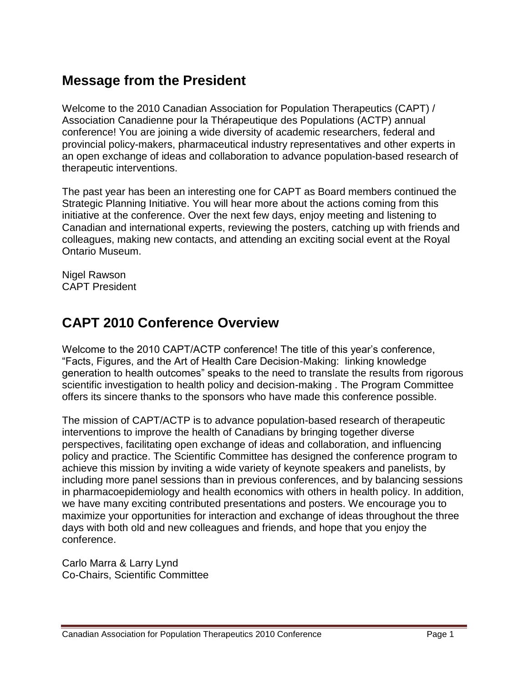## **Message from the President**

Welcome to the 2010 Canadian Association for Population Therapeutics (CAPT) / Association Canadienne pour la Thérapeutique des Populations (ACTP) annual conference! You are joining a wide diversity of academic researchers, federal and provincial policy-makers, pharmaceutical industry representatives and other experts in an open exchange of ideas and collaboration to advance population-based research of therapeutic interventions.

The past year has been an interesting one for CAPT as Board members continued the Strategic Planning Initiative. You will hear more about the actions coming from this initiative at the conference. Over the next few days, enjoy meeting and listening to Canadian and international experts, reviewing the posters, catching up with friends and colleagues, making new contacts, and attending an exciting social event at the Royal Ontario Museum.

Nigel Rawson CAPT President

## **CAPT 2010 Conference Overview**

Welcome to the 2010 CAPT/ACTP conference! The title of this year's conference, "Facts, Figures, and the Art of Health Care Decision-Making: linking knowledge generation to health outcomes" speaks to the need to translate the results from rigorous scientific investigation to health policy and decision-making . The Program Committee offers its sincere thanks to the sponsors who have made this conference possible.

The mission of CAPT/ACTP is to advance population-based research of therapeutic interventions to improve the health of Canadians by bringing together diverse perspectives, facilitating open exchange of ideas and collaboration, and influencing policy and practice. The Scientific Committee has designed the conference program to achieve this mission by inviting a wide variety of keynote speakers and panelists, by including more panel sessions than in previous conferences, and by balancing sessions in pharmacoepidemiology and health economics with others in health policy. In addition, we have many exciting contributed presentations and posters. We encourage you to maximize your opportunities for interaction and exchange of ideas throughout the three days with both old and new colleagues and friends, and hope that you enjoy the conference.

Carlo Marra & Larry Lynd Co-Chairs, Scientific Committee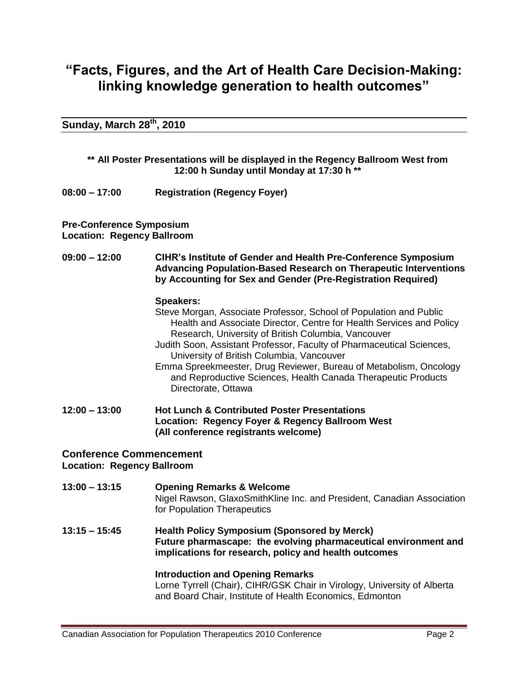## **"Facts, Figures, and the Art of Health Care Decision-Making: linking knowledge generation to health outcomes"**

**Sunday, March 28th, 2010**

| ** All Poster Presentations will be displayed in the Regency Ballroom West from<br>12:00 h Sunday until Monday at 17:30 h ** |                                                                                                                                                                                                                                                                                                                                                                                                                                                                                                          |  |
|------------------------------------------------------------------------------------------------------------------------------|----------------------------------------------------------------------------------------------------------------------------------------------------------------------------------------------------------------------------------------------------------------------------------------------------------------------------------------------------------------------------------------------------------------------------------------------------------------------------------------------------------|--|
| $08:00 - 17:00$                                                                                                              | <b>Registration (Regency Foyer)</b>                                                                                                                                                                                                                                                                                                                                                                                                                                                                      |  |
| <b>Pre-Conference Symposium</b><br><b>Location: Regency Ballroom</b>                                                         |                                                                                                                                                                                                                                                                                                                                                                                                                                                                                                          |  |
| $09:00 - 12:00$                                                                                                              | CIHR's Institute of Gender and Health Pre-Conference Symposium<br><b>Advancing Population-Based Research on Therapeutic Interventions</b><br>by Accounting for Sex and Gender (Pre-Registration Required)                                                                                                                                                                                                                                                                                                |  |
|                                                                                                                              | <b>Speakers:</b><br>Steve Morgan, Associate Professor, School of Population and Public<br>Health and Associate Director, Centre for Health Services and Policy<br>Research, University of British Columbia, Vancouver<br>Judith Soon, Assistant Professor, Faculty of Pharmaceutical Sciences,<br>University of British Columbia, Vancouver<br>Emma Spreekmeester, Drug Reviewer, Bureau of Metabolism, Oncology<br>and Reproductive Sciences, Health Canada Therapeutic Products<br>Directorate, Ottawa |  |
| $12:00 - 13:00$                                                                                                              | <b>Hot Lunch &amp; Contributed Poster Presentations</b><br>Location: Regency Foyer & Regency Ballroom West<br>(All conference registrants welcome)                                                                                                                                                                                                                                                                                                                                                       |  |
| <b>Conference Commencement</b><br><b>Location: Regency Ballroom</b>                                                          |                                                                                                                                                                                                                                                                                                                                                                                                                                                                                                          |  |
| $13:00 - 13:15$                                                                                                              | <b>Opening Remarks &amp; Welcome</b><br>Nigel Rawson, GlaxoSmithKline Inc. and President, Canadian Association<br>for Population Therapeutics                                                                                                                                                                                                                                                                                                                                                            |  |
| $13:15 - 15:45$                                                                                                              | <b>Health Policy Symposium (Sponsored by Merck)</b><br>Future pharmascape: the evolving pharmaceutical environment and<br>implications for research, policy and health outcomes                                                                                                                                                                                                                                                                                                                          |  |

#### **Introduction and Opening Remarks** Lorne Tyrrell (Chair), CIHR/GSK Chair in Virology, University of Alberta and Board Chair, Institute of Health Economics, Edmonton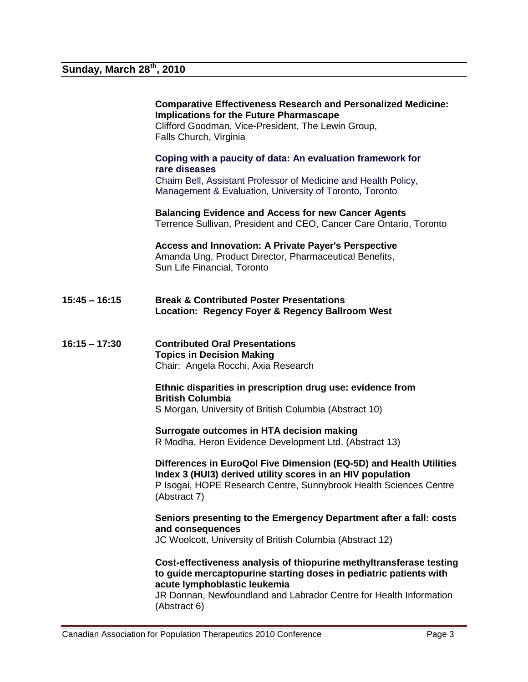|                 | <b>Comparative Effectiveness Research and Personalized Medicine:</b><br><b>Implications for the Future Pharmascape</b><br>Clifford Goodman, Vice-President, The Lewin Group,<br>Falls Church, Virginia                                                         |
|-----------------|----------------------------------------------------------------------------------------------------------------------------------------------------------------------------------------------------------------------------------------------------------------|
|                 | Coping with a paucity of data: An evaluation framework for<br>rare diseases<br>Chaim Bell, Assistant Professor of Medicine and Health Policy,<br>Management & Evaluation, University of Toronto, Toronto                                                       |
|                 | <b>Balancing Evidence and Access for new Cancer Agents</b><br>Terrence Sullivan, President and CEO, Cancer Care Ontario, Toronto                                                                                                                               |
|                 | <b>Access and Innovation: A Private Payer's Perspective</b><br>Amanda Ung, Product Director, Pharmaceutical Benefits,<br>Sun Life Financial, Toronto                                                                                                           |
| $15:45 - 16:15$ | <b>Break &amp; Contributed Poster Presentations</b><br>Location: Regency Foyer & Regency Ballroom West                                                                                                                                                         |
| $16:15 - 17:30$ | <b>Contributed Oral Presentations</b><br><b>Topics in Decision Making</b><br>Chair: Angela Rocchi, Axia Research                                                                                                                                               |
|                 | Ethnic disparities in prescription drug use: evidence from<br><b>British Columbia</b><br>S Morgan, University of British Columbia (Abstract 10)                                                                                                                |
|                 | Surrogate outcomes in HTA decision making<br>R Modha, Heron Evidence Development Ltd. (Abstract 13)                                                                                                                                                            |
|                 | Differences in EuroQol Five Dimension (EQ-5D) and Health Utilities<br>Index 3 (HUI3) derived utility scores in an HIV population<br>P Isogai, HOPE Research Centre, Sunnybrook Health Sciences Centre<br>(Abstract 7)                                          |
|                 | Seniors presenting to the Emergency Department after a fall: costs<br>and consequences<br>JC Woolcott, University of British Columbia (Abstract 12)                                                                                                            |
|                 | Cost-effectiveness analysis of thiopurine methyltransferase testing<br>to guide mercaptopurine starting doses in pediatric patients with<br>acute lymphoblastic leukemia<br>JR Donnan, Newfoundland and Labrador Centre for Health Information<br>(Abstract 6) |

and and the control of the control of the control of the control of the control of the control of the control of the control of the control of the control of the control of the control of the control of the control of the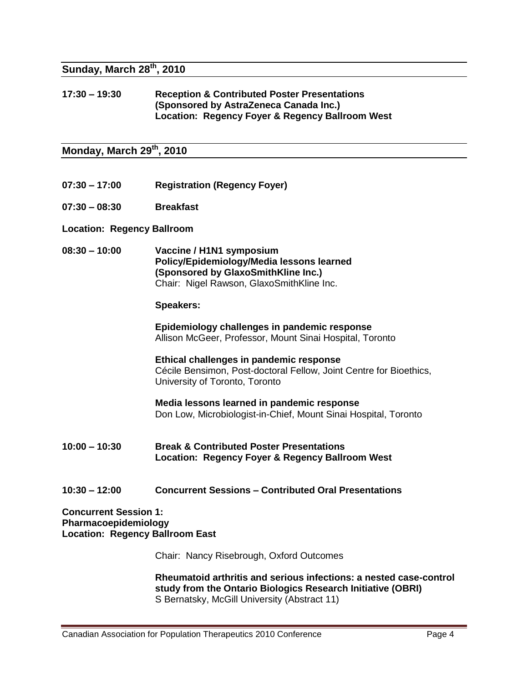#### **Sunday, March 28th, 2010**

#### **17:30 – 19:30 Reception & Contributed Poster Presentations (Sponsored by AstraZeneca Canada Inc.) Location: Regency Foyer & Regency Ballroom West**

**Monday, March 29th, 2010**

- **07:30 – 17:00 Registration (Regency Foyer)**
- **07:30 – 08:30 Breakfast**
- **Location: Regency Ballroom**
- **08:30 – 10:00 Vaccine / H1N1 symposium Policy/Epidemiology/Media lessons learned (Sponsored by GlaxoSmithKline Inc.)** Chair: Nigel Rawson, GlaxoSmithKline Inc.

#### **Speakers:**

**Epidemiology challenges in pandemic response** Allison McGeer, Professor, Mount Sinai Hospital, Toronto

**Ethical challenges in pandemic response** Cécile Bensimon, Post-doctoral Fellow, Joint Centre for Bioethics, University of Toronto, Toronto

**Media lessons learned in pandemic response** Don Low, Microbiologist-in-Chief, Mount Sinai Hospital, Toronto

- **10:00 – 10:30 Break & Contributed Poster Presentations Location: Regency Foyer & Regency Ballroom West**
- **10:30 – 12:00 Concurrent Sessions – Contributed Oral Presentations**

**Concurrent Session 1: Pharmacoepidemiology Location: Regency Ballroom East**

Chair: Nancy Risebrough, Oxford Outcomes

**Rheumatoid arthritis and serious infections: a nested case-control study from the Ontario Biologics Research Initiative (OBRI)** S Bernatsky, McGill University (Abstract 11)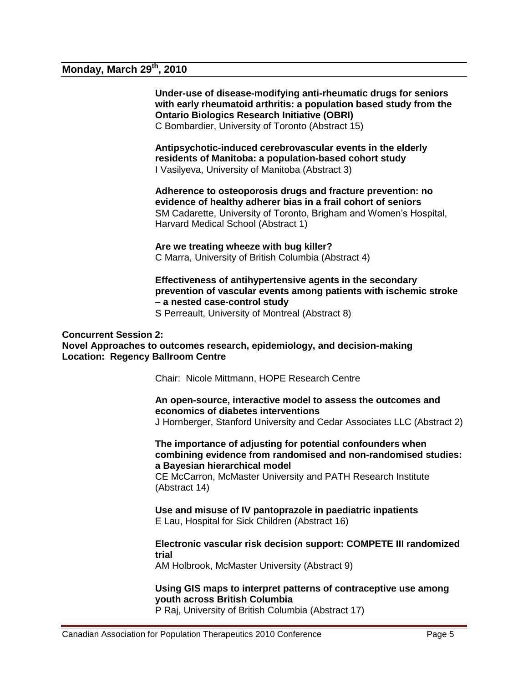### **Monday, March 29th, 2010**

**Under-use of disease-modifying anti-rheumatic drugs for seniors with early rheumatoid arthritis: a population based study from the Ontario Biologics Research Initiative (OBRI)**  C Bombardier, University of Toronto (Abstract 15)

**Antipsychotic-induced cerebrovascular events in the elderly residents of Manitoba: a population-based cohort study** I Vasilyeva, University of Manitoba (Abstract 3)

**Adherence to osteoporosis drugs and fracture prevention: no evidence of healthy adherer bias in a frail cohort of seniors** SM Cadarette, University of Toronto, Brigham and Women's Hospital, Harvard Medical School (Abstract 1)

**Are we treating wheeze with bug killer?** C Marra, University of British Columbia (Abstract 4)

**Effectiveness of antihypertensive agents in the secondary prevention of vascular events among patients with ischemic stroke – a nested case-control study**

S Perreault, University of Montreal (Abstract 8)

#### **Concurrent Session 2:**

**Novel Approaches to outcomes research, epidemiology, and decision-making Location: Regency Ballroom Centre**

Chair: Nicole Mittmann, HOPE Research Centre

#### **An open-source, interactive model to assess the outcomes and economics of diabetes interventions**

J Hornberger, Stanford University and Cedar Associates LLC (Abstract 2)

**The importance of adjusting for potential confounders when combining evidence from randomised and non-randomised studies: a Bayesian hierarchical model**

CE McCarron, McMaster University and PATH Research Institute (Abstract 14)

**Use and misuse of IV pantoprazole in paediatric inpatients** E Lau, Hospital for Sick Children (Abstract 16)

**Electronic vascular risk decision support: COMPETE III randomized trial**

AM Holbrook, McMaster University (Abstract 9)

#### **Using GIS maps to interpret patterns of contraceptive use among youth across British Columbia**

P Raj, University of British Columbia (Abstract 17)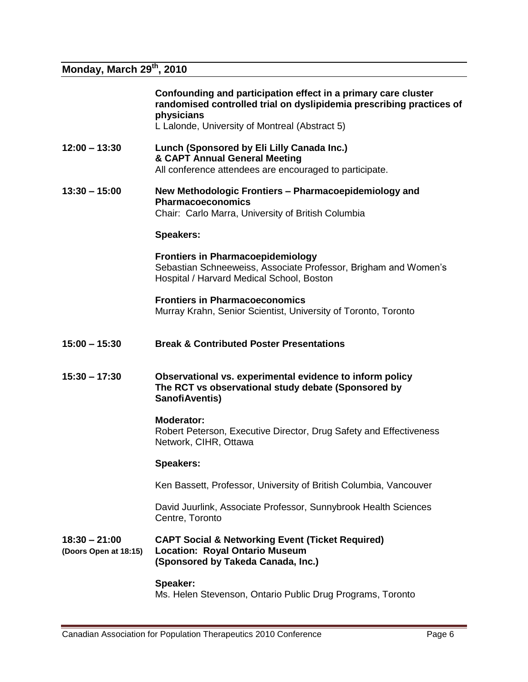## **Monday, March 29th, 2010**

|                                          | Confounding and participation effect in a primary care cluster<br>randomised controlled trial on dyslipidemia prescribing practices of<br>physicians<br>L Lalonde, University of Montreal (Abstract 5) |
|------------------------------------------|--------------------------------------------------------------------------------------------------------------------------------------------------------------------------------------------------------|
| $12:00 - 13:30$                          | Lunch (Sponsored by Eli Lilly Canada Inc.)<br>& CAPT Annual General Meeting<br>All conference attendees are encouraged to participate.                                                                 |
| $13:30 - 15:00$                          | New Methodologic Frontiers - Pharmacoepidemiology and<br><b>Pharmacoeconomics</b><br>Chair: Carlo Marra, University of British Columbia                                                                |
|                                          | <b>Speakers:</b>                                                                                                                                                                                       |
|                                          | <b>Frontiers in Pharmacoepidemiology</b><br>Sebastian Schneeweiss, Associate Professor, Brigham and Women's<br>Hospital / Harvard Medical School, Boston                                               |
|                                          | <b>Frontiers in Pharmacoeconomics</b><br>Murray Krahn, Senior Scientist, University of Toronto, Toronto                                                                                                |
| $15:00 - 15:30$                          | <b>Break &amp; Contributed Poster Presentations</b>                                                                                                                                                    |
| $15:30 - 17:30$                          | Observational vs. experimental evidence to inform policy<br>The RCT vs observational study debate (Sponsored by<br>SanofiAventis)                                                                      |
|                                          | <b>Moderator:</b><br>Robert Peterson, Executive Director, Drug Safety and Effectiveness<br>Network, CIHR, Ottawa                                                                                       |
|                                          | <b>Speakers:</b>                                                                                                                                                                                       |
|                                          | Ken Bassett, Professor, University of British Columbia, Vancouver                                                                                                                                      |
|                                          | David Juurlink, Associate Professor, Sunnybrook Health Sciences<br>Centre, Toronto                                                                                                                     |
| $18:30 - 21:00$<br>(Doors Open at 18:15) | <b>CAPT Social &amp; Networking Event (Ticket Required)</b><br><b>Location: Royal Ontario Museum</b><br>(Sponsored by Takeda Canada, Inc.)                                                             |
|                                          | Speaker:<br>Ms. Helen Stevenson, Ontario Public Drug Programs, Toronto                                                                                                                                 |

and and the control of the control of the control of the control of the control of the control of the control of the control of the control of the control of the control of the control of the control of the control of the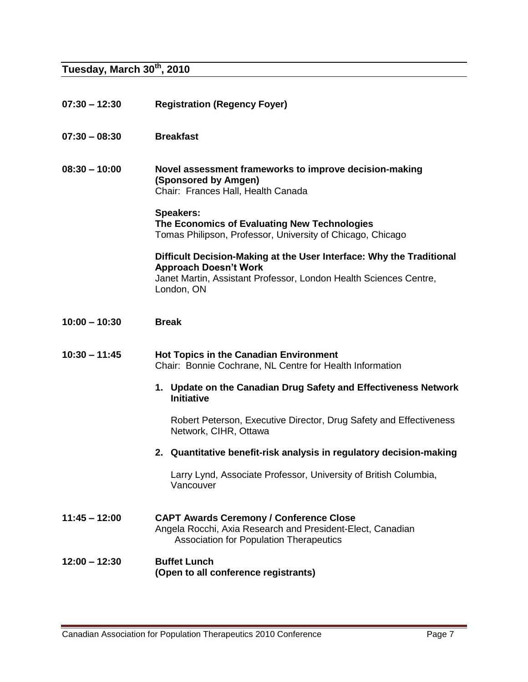## **Tuesday, March 30th, 2010**

| $07:30 - 12:30$ | <b>Registration (Regency Foyer)</b>                                                                                                                                                     |
|-----------------|-----------------------------------------------------------------------------------------------------------------------------------------------------------------------------------------|
| $07:30 - 08:30$ | <b>Breakfast</b>                                                                                                                                                                        |
| $08:30 - 10:00$ | Novel assessment frameworks to improve decision-making<br>(Sponsored by Amgen)<br>Chair: Frances Hall, Health Canada                                                                    |
|                 | <b>Speakers:</b><br>The Economics of Evaluating New Technologies<br>Tomas Philipson, Professor, University of Chicago, Chicago                                                          |
|                 | Difficult Decision-Making at the User Interface: Why the Traditional<br><b>Approach Doesn't Work</b><br>Janet Martin, Assistant Professor, London Health Sciences Centre,<br>London, ON |
| $10:00 - 10:30$ | <b>Break</b>                                                                                                                                                                            |
| $10:30 - 11:45$ | <b>Hot Topics in the Canadian Environment</b><br>Chair: Bonnie Cochrane, NL Centre for Health Information                                                                               |
|                 | 1. Update on the Canadian Drug Safety and Effectiveness Network<br><b>Initiative</b>                                                                                                    |
|                 | Robert Peterson, Executive Director, Drug Safety and Effectiveness<br>Network, CIHR, Ottawa                                                                                             |
|                 | 2. Quantitative benefit-risk analysis in regulatory decision-making                                                                                                                     |
|                 | Larry Lynd, Associate Professor, University of British Columbia,<br>Vancouver                                                                                                           |
| $11:45 - 12:00$ | <b>CAPT Awards Ceremony / Conference Close</b><br>Angela Rocchi, Axia Research and President-Elect, Canadian<br><b>Association for Population Therapeutics</b>                          |
| $12:00 - 12:30$ | <b>Buffet Lunch</b><br>(Open to all conference registrants)                                                                                                                             |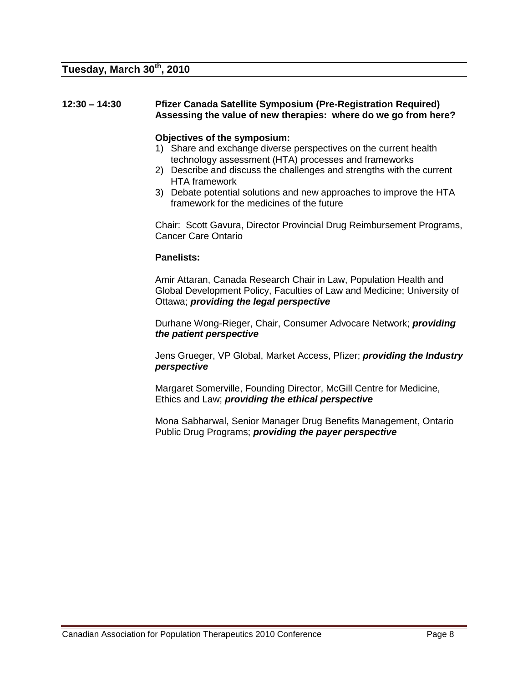#### **12:30 – 14:30 Pfizer Canada Satellite Symposium (Pre-Registration Required) Assessing the value of new therapies: where do we go from here?**

#### **Objectives of the symposium:**

- 1) Share and exchange diverse perspectives on the current health technology assessment (HTA) processes and frameworks
- 2) Describe and discuss the challenges and strengths with the current HTA framework
- 3) Debate potential solutions and new approaches to improve the HTA framework for the medicines of the future

Chair: Scott Gavura, Director Provincial Drug Reimbursement Programs, Cancer Care Ontario

#### **Panelists:**

Amir Attaran, Canada Research Chair in Law, Population Health and Global Development Policy, Faculties of Law and Medicine; University of Ottawa; *providing the legal perspective*

Durhane Wong-Rieger, Chair, Consumer Advocare Network; *providing the patient perspective*

Jens Grueger, VP Global, Market Access, Pfizer; *providing the Industry perspective* 

Margaret Somerville, Founding Director, McGill Centre for Medicine, Ethics and Law; *providing the ethical perspective*

Mona Sabharwal, Senior Manager Drug Benefits Management, Ontario Public Drug Programs; *providing the payer perspective*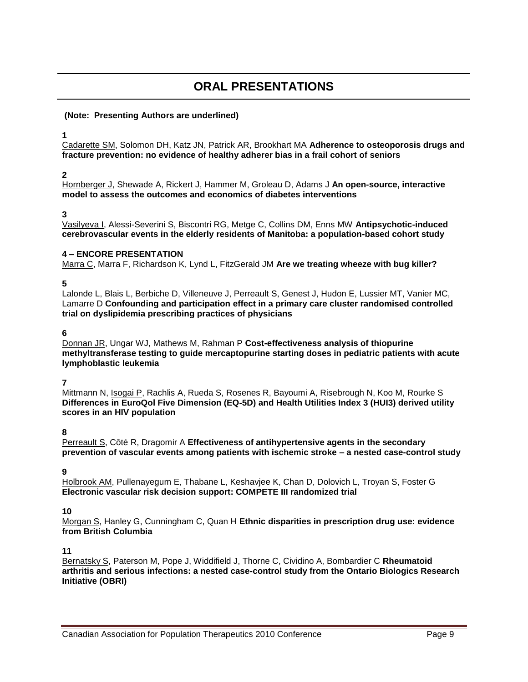## **ORAL PRESENTATIONS**

#### **(Note: Presenting Authors are underlined)**

**1**

Cadarette SM, Solomon DH, Katz JN, Patrick AR, Brookhart MA **Adherence to osteoporosis drugs and fracture prevention: no evidence of healthy adherer bias in a frail cohort of seniors**

#### **2**

Hornberger J, Shewade A, Rickert J, Hammer M, Groleau D, Adams J **An open-source, interactive model to assess the outcomes and economics of diabetes interventions**

#### **3**

Vasilyeva I, Alessi-Severini S, Biscontri RG, Metge C, Collins DM, Enns MW **Antipsychotic-induced cerebrovascular events in the elderly residents of Manitoba: a population-based cohort study**

#### **4 – ENCORE PRESENTATION**

Marra C, Marra F, Richardson K, Lynd L, FitzGerald JM **Are we treating wheeze with bug killer?**

#### **5**

Lalonde L, Blais L, Berbiche D, Villeneuve J, Perreault S, Genest J, Hudon E, Lussier MT, Vanier MC, Lamarre D **Confounding and participation effect in a primary care cluster randomised controlled trial on dyslipidemia prescribing practices of physicians**

#### **6**

Donnan JR, Ungar WJ, Mathews M, Rahman P **Cost-effectiveness analysis of thiopurine methyltransferase testing to guide mercaptopurine starting doses in pediatric patients with acute lymphoblastic leukemia**

#### **7**

Mittmann N, Isogai P, Rachlis A, Rueda S, Rosenes R, Bayoumi A, Risebrough N, Koo M, Rourke S **Differences in EuroQol Five Dimension (EQ-5D) and Health Utilities Index 3 (HUI3) derived utility scores in an HIV population**

#### **8**

Perreault S, Côté R, Dragomir A **Effectiveness of antihypertensive agents in the secondary prevention of vascular events among patients with ischemic stroke – a nested case-control study**

#### **9**

Holbrook AM, Pullenayegum E, Thabane L, Keshavjee K, Chan D, Dolovich L, Troyan S, Foster G **Electronic vascular risk decision support: COMPETE III randomized trial**

#### **10**

Morgan S, Hanley G, Cunningham C, Quan H **Ethnic disparities in prescription drug use: evidence from British Columbia**

#### **11**

Bernatsky S, Paterson M, Pope J, Widdifield J, Thorne C, Cividino A, Bombardier C **Rheumatoid arthritis and serious infections: a nested case-control study from the Ontario Biologics Research Initiative (OBRI)**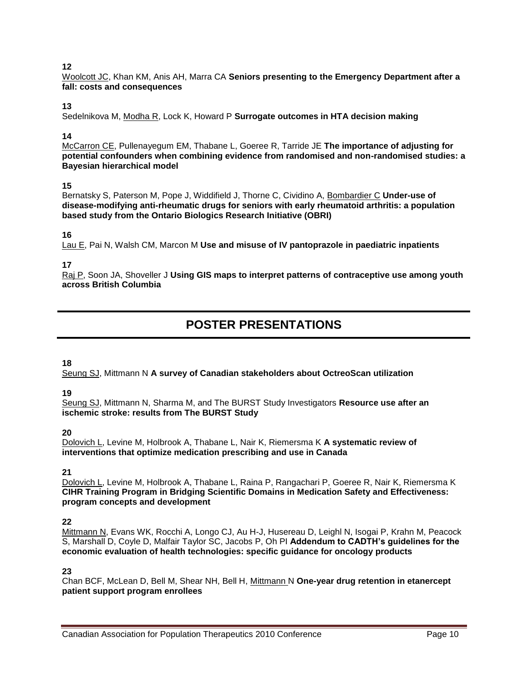Woolcott JC, Khan KM, Anis AH, Marra CA **Seniors presenting to the Emergency Department after a fall: costs and consequences**

#### **13**

Sedelnikova M, Modha R, Lock K, Howard P **Surrogate outcomes in HTA decision making**

#### **14**

McCarron CE, Pullenayegum EM, Thabane L, Goeree R, Tarride JE **The importance of adjusting for potential confounders when combining evidence from randomised and non-randomised studies: a Bayesian hierarchical model**

#### **15**

Bernatsky S, Paterson M, Pope J, Widdifield J, Thorne C, Cividino A, Bombardier C **Under-use of disease-modifying anti-rheumatic drugs for seniors with early rheumatoid arthritis: a population based study from the Ontario Biologics Research Initiative (OBRI)** 

#### **16**

Lau E, Pai N, Walsh CM, Marcon M **Use and misuse of IV pantoprazole in paediatric inpatients**

#### **17**

Raj P, Soon JA, Shoveller J **Using GIS maps to interpret patterns of contraceptive use among youth across British Columbia**

## **POSTER PRESENTATIONS**

#### **18**

Seung SJ, Mittmann N **A survey of Canadian stakeholders about OctreoScan utilization** 

#### **19**

Seung SJ, Mittmann N, Sharma M, and The BURST Study Investigators **Resource use after an ischemic stroke: results from The BURST Study**

#### **20**

Dolovich L, Levine M, Holbrook A, Thabane L, Nair K, Riemersma K **A systematic review of interventions that optimize medication prescribing and use in Canada**

#### **21**

Dolovich L, Levine M, Holbrook A, Thabane L, Raina P, Rangachari P, Goeree R, Nair K, Riemersma K **CIHR Training Program in Bridging Scientific Domains in Medication Safety and Effectiveness: program concepts and development**

#### **22**

Mittmann N, Evans WK, Rocchi A, Longo CJ, Au H-J, Husereau D, Leighl N, Isogai P, Krahn M, Peacock S, Marshall D, Coyle D, Malfair Taylor SC, Jacobs P, Oh PI **Addendum to CADTH's guidelines for the economic evaluation of health technologies: specific guidance for oncology products**

#### **23**

Chan BCF, McLean D, Bell M, Shear NH, Bell H, Mittmann N **One-year drug retention in etanercept patient support program enrollees**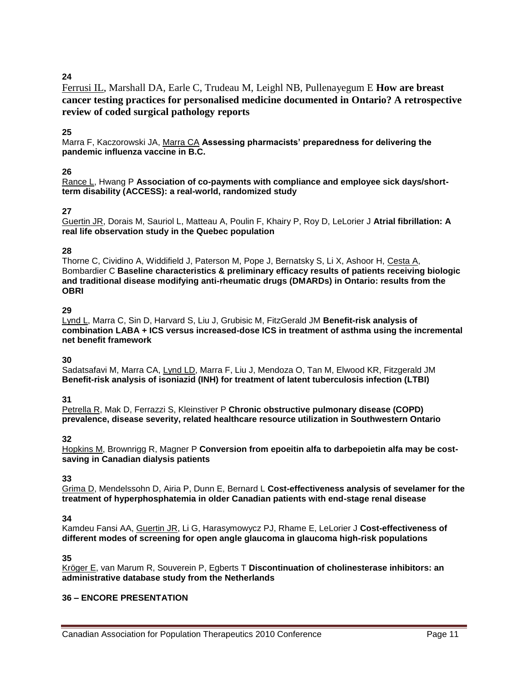Ferrusi IL, Marshall DA, Earle C, Trudeau M, Leighl NB, Pullenayegum E **How are breast cancer testing practices for personalised medicine documented in Ontario? A retrospective review of coded surgical pathology reports**

#### **25**

Marra F, Kaczorowski JA, Marra CA **Assessing pharmacists' preparedness for delivering the pandemic influenza vaccine in B.C.**

#### **26**

Rance L, Hwang P **Association of co-payments with compliance and employee sick days/shortterm disability (ACCESS): a real-world, randomized study**

#### **27**

Guertin JR, Dorais M, Sauriol L, Matteau A, Poulin F, Khairy P, Roy D, LeLorier J **Atrial fibrillation: A real life observation study in the Quebec population**

#### **28**

Thorne C, Cividino A, Widdifield J, Paterson M, Pope J, Bernatsky S, Li X, Ashoor H, Cesta A, Bombardier C **Baseline characteristics & preliminary efficacy results of patients receiving biologic and traditional disease modifying anti-rheumatic drugs (DMARDs) in Ontario: results from the OBRI**

#### **29**

Lynd L, Marra C, Sin D, Harvard S, Liu J, Grubisic M, FitzGerald JM **Benefit-risk analysis of combination LABA + ICS versus increased-dose ICS in treatment of asthma using the incremental net benefit framework**

#### **30**

Sadatsafavi M, Marra CA, Lynd LD, Marra F, Liu J, Mendoza O, Tan M, Elwood KR, Fitzgerald JM **Benefit-risk analysis of isoniazid (INH) for treatment of latent tuberculosis infection (LTBI)**

#### **31**

Petrella R, Mak D, Ferrazzi S, Kleinstiver P **Chronic obstructive pulmonary disease (COPD) prevalence, disease severity, related healthcare resource utilization in Southwestern Ontario**

#### **32**

Hopkins M, Brownrigg R, Magner P **Conversion from epoeitin alfa to darbepoietin alfa may be costsaving in Canadian dialysis patients**

#### **33**

Grima D, Mendelssohn D, Airia P, Dunn E, Bernard L **Cost-effectiveness analysis of sevelamer for the treatment of hyperphosphatemia in older Canadian patients with end-stage renal disease**

#### **34**

Kamdeu Fansi AA, Guertin JR, Li G, Harasymowycz PJ, Rhame E, LeLorier J **Cost-effectiveness of different modes of screening for open angle glaucoma in glaucoma high-risk populations**

#### **35**

Kröger E, van Marum R, Souverein P, Egberts T **Discontinuation of cholinesterase inhibitors: an administrative database study from the Netherlands**

#### **36 – ENCORE PRESENTATION**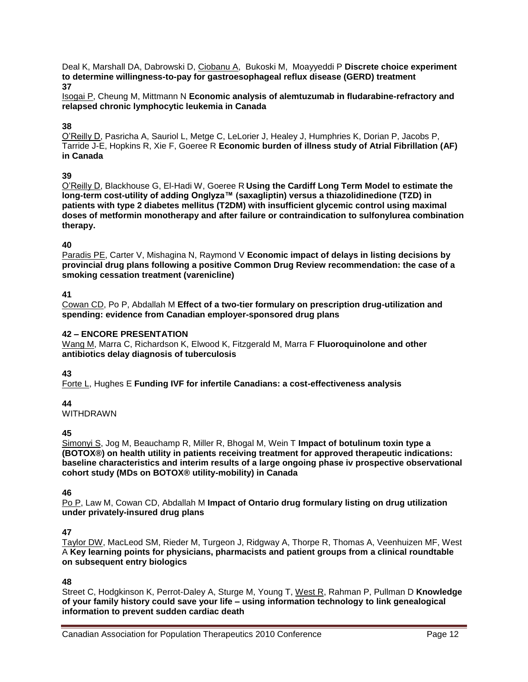Deal K, Marshall DA, Dabrowski D, Ciobanu A, Bukoski M, Moayyeddi P **Discrete choice experiment to determine willingness-to-pay for gastroesophageal reflux disease (GERD) treatment 37**

Isogai P, Cheung M, Mittmann N **Economic analysis of alemtuzumab in fludarabine-refractory and relapsed chronic lymphocytic leukemia in Canada**

#### **38**

O'Reilly D, Pasricha A, Sauriol L, Metge C, LeLorier J, Healey J, Humphries K, Dorian P, Jacobs P, Tarride J-E, Hopkins R, Xie F, Goeree R **Economic burden of illness study of Atrial Fibrillation (AF) in Canada**

#### **39**

O'Reilly D, Blackhouse G, El-Hadi W, Goeree R **Using the Cardiff Long Term Model to estimate the long-term cost-utility of adding Onglyza™ (saxagliptin) versus a thiazolidinedione (TZD) in patients with type 2 diabetes mellitus (T2DM) with insufficient glycemic control using maximal doses of metformin monotherapy and after failure or contraindication to sulfonylurea combination therapy.**

#### **40**

Paradis PE, Carter V, Mishagina N, Raymond V **Economic impact of delays in listing decisions by provincial drug plans following a positive Common Drug Review recommendation: the case of a smoking cessation treatment (varenicline)**

#### **41**

Cowan CD, Po P, Abdallah M **Effect of a two-tier formulary on prescription drug-utilization and spending: evidence from Canadian employer-sponsored drug plans**

#### **42 – ENCORE PRESENTATION**

Wang M, Marra C, Richardson K, Elwood K, Fitzgerald M, Marra F **Fluoroquinolone and other antibiotics delay diagnosis of tuberculosis** 

#### **43**

Forte L, Hughes E **Funding IVF for infertile Canadians: a cost-effectiveness analysis**

#### **44**

WITHDRAWN

#### **45**

Simonyi S, Jog M, Beauchamp R, Miller R, Bhogal M, Wein T **Impact of botulinum toxin type a (BOTOX®) on health utility in patients receiving treatment for approved therapeutic indications: baseline characteristics and interim results of a large ongoing phase iv prospective observational cohort study (MDs on BOTOX® utility-mobility) in Canada**

#### **46**

Po P, Law M, Cowan CD, Abdallah M **Impact of Ontario drug formulary listing on drug utilization under privately-insured drug plans**

#### **47**

Taylor DW, MacLeod SM, Rieder M, Turgeon J, Ridgway A, Thorpe R, Thomas A, Veenhuizen MF, West A **Key learning points for physicians, pharmacists and patient groups from a clinical roundtable on subsequent entry biologics**

#### **48**

Street C, Hodgkinson K, Perrot-Daley A, Sturge M, Young T, West R, Rahman P, Pullman D **Knowledge of your family history could save your life – using information technology to link genealogical information to prevent sudden cardiac death**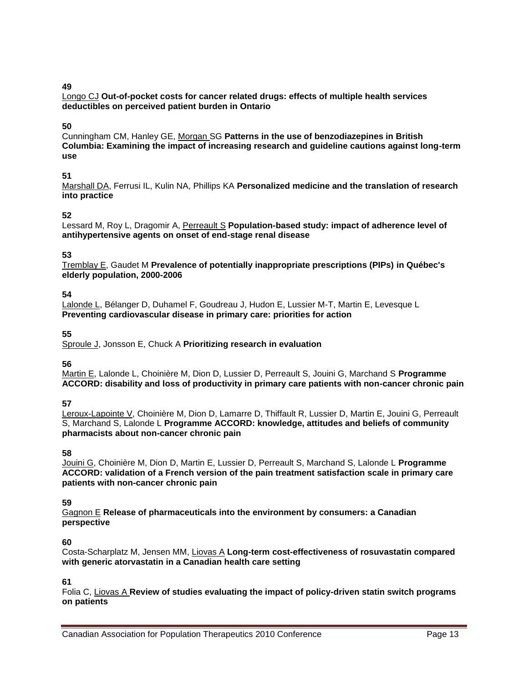Longo CJ **Out-of-pocket costs for cancer related drugs: effects of multiple health services deductibles on perceived patient burden in Ontario**

#### **50**

Cunningham CM, Hanley GE, Morgan SG **Patterns in the use of benzodiazepines in British Columbia: Examining the impact of increasing research and guideline cautions against long-term use**

#### **51**

Marshall DA, Ferrusi IL, Kulin NA, Phillips KA **Personalized medicine and the translation of research into practice**

#### **52**

Lessard M, Roy L, Dragomir A, Perreault S **Population-based study: impact of adherence level of antihypertensive agents on onset of end-stage renal disease**

#### **53**

Tremblay E, Gaudet M **Prevalence of potentially inappropriate prescriptions (PIPs) in Québec's elderly population, 2000-2006**

#### **54**

Lalonde L, Bélanger D, Duhamel F, Goudreau J, Hudon E, Lussier M-T, Martin E, Levesque L **Preventing cardiovascular disease in primary care: priorities for action**

#### **55**

Sproule J, Jonsson E, Chuck A **Prioritizing research in evaluation**

#### **56**

Martin E, Lalonde L, Choinière M, Dion D, Lussier D, Perreault S, Jouini G, Marchand S **Programme ACCORD: disability and loss of productivity in primary care patients with non-cancer chronic pain**

#### **57**

Leroux-Lapointe V, Choinière M, Dion D, Lamarre D, Thiffault R, Lussier D, Martin E, Jouini G, Perreault S, Marchand S, Lalonde L **Programme ACCORD: knowledge, attitudes and beliefs of community pharmacists about non-cancer chronic pain**

#### **58**

Jouini G, Choinière M, Dion D, Martin E, Lussier D, Perreault S, Marchand S, Lalonde L **Programme ACCORD: validation of a French version of the pain treatment satisfaction scale in primary care patients with non-cancer chronic pain** 

#### **59**

Gagnon E **Release of pharmaceuticals into the environment by consumers: a Canadian perspective** 

#### **60**

Costa-Scharplatz M, Jensen MM, Liovas A **Long-term cost-effectiveness of rosuvastatin compared with generic atorvastatin in a Canadian health care setting** 

#### **61**

Folia C, Liovas A **Review of studies evaluating the impact of policy-driven statin switch programs on patients**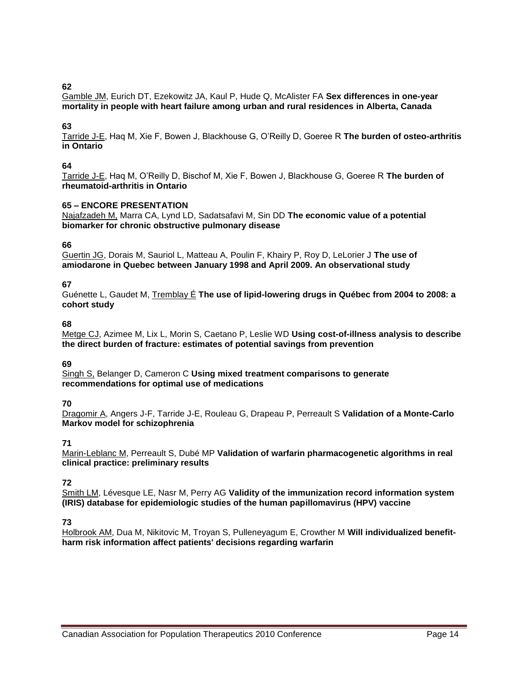Gamble JM, Eurich DT, Ezekowitz JA, Kaul P, Hude Q, McAlister FA **Sex differences in one-year mortality in people with heart failure among urban and rural residences in Alberta, Canada**

#### **63**

Tarride J-E, Haq M, Xie F, Bowen J, Blackhouse G, O'Reilly D, Goeree R **The burden of osteo-arthritis in Ontario**

#### **64**

Tarride J-E, Haq M, O'Reilly D, Bischof M, Xie F, Bowen J, Blackhouse G, Goeree R **The burden of rheumatoid-arthritis in Ontario**

#### **65 – ENCORE PRESENTATION**

Najafzadeh M, Marra CA, Lynd LD, Sadatsafavi M, Sin DD **The economic value of a potential biomarker for chronic obstructive pulmonary disease** 

**66**

Guertin JG, Dorais M, Sauriol L, Matteau A, Poulin F, Khairy P, Roy D, LeLorier J **The use of amiodarone in Quebec between January 1998 and April 2009. An observational study**

#### **67**

Guénette L, Gaudet M, Tremblay É **The use of lipid-lowering drugs in Québec from 2004 to 2008: a cohort study**

#### **68**

Metge CJ, Azimee M, Lix L, Morin S, Caetano P, Leslie WD **Using cost-of-illness analysis to describe the direct burden of fracture: estimates of potential savings from prevention**

#### **69**

Singh S, Belanger D, Cameron C **Using mixed treatment comparisons to generate recommendations for optimal use of medications**

#### **70**

Dragomir A, Angers J-F, Tarride J-E, Rouleau G, Drapeau P, Perreault S **Validation of a Monte-Carlo Markov model for schizophrenia** 

#### **71**

Marin-Leblanc M, Perreault S, Dubé MP **Validation of warfarin pharmacogenetic algorithms in real clinical practice: preliminary results**

#### **72**

Smith LM, Lévesque LE, Nasr M, Perry AG **Validity of the immunization record information system (IRIS) database for epidemiologic studies of the human papillomavirus (HPV) vaccine**

#### **73**

Holbrook AM, Dua M, Nikitovic M, Troyan S, Pulleneyagum E, Crowther M **Will individualized benefitharm risk information affect patients' decisions regarding warfarin**